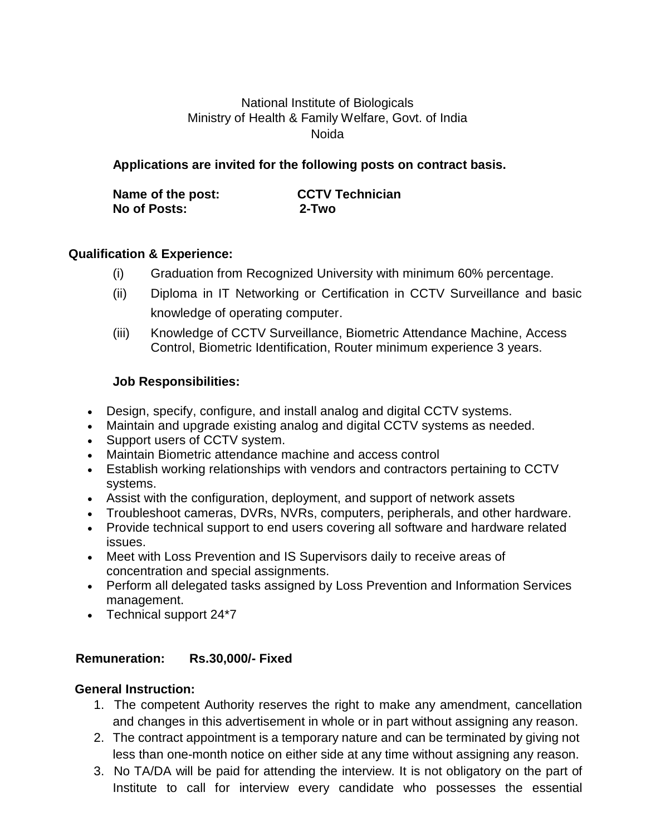# National Institute of Biologicals Ministry of Health & Family Welfare, Govt. of India Noida

## **Applications are invited for the following posts on contract basis.**

| Name of the post: | <b>CCTV Technician</b> |
|-------------------|------------------------|
| No of Posts:      | 2-Two                  |

## **Qualification & Experience:**

- (i) Graduation from Recognized University with minimum 60% percentage.
- (ii) Diploma in IT Networking or Certification in CCTV Surveillance and basic knowledge of operating computer.
- (iii) Knowledge of CCTV Surveillance, Biometric Attendance Machine, Access Control, Biometric Identification, Router minimum experience 3 years.

## **Job Responsibilities:**

- Design, specify, configure, and install analog and digital CCTV systems.
- Maintain and upgrade existing analog and digital CCTV systems as needed.
- Support users of CCTV system.
- Maintain Biometric attendance machine and access control
- Establish working relationships with vendors and contractors pertaining to CCTV systems.
- Assist with the configuration, deployment, and support of network assets
- Troubleshoot cameras, DVRs, NVRs, computers, peripherals, and other hardware.
- Provide technical support to end users covering all software and hardware related issues.
- Meet with Loss Prevention and IS Supervisors daily to receive areas of concentration and special assignments.
- Perform all delegated tasks assigned by Loss Prevention and Information Services management.
- Technical support 24\*7

### **Remuneration: Rs.30,000/- Fixed**

### **General Instruction:**

- 1. The competent Authority reserves the right to make any amendment, cancellation and changes in this advertisement in whole or in part without assigning any reason.
- 2. The contract appointment is a temporary nature and can be terminated by giving not less than one-month notice on either side at any time without assigning any reason.
- 3. No TA/DA will be paid for attending the interview. It is not obligatory on the part of Institute to call for interview every candidate who possesses the essential